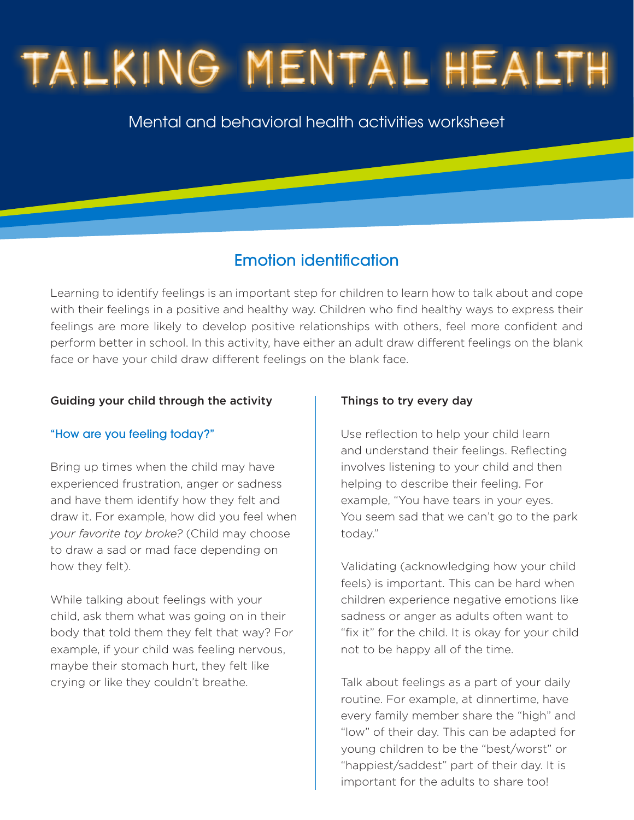# TALKING MENTAL HEALTH

Mental and behavioral health activities worksheet

### Emotion identification

Learning to identify feelings is an important step for children to learn how to talk about and cope with their feelings in a positive and healthy way. Children who find healthy ways to express their feelings are more likely to develop positive relationships with others, feel more confident and perform better in school. In this activity, have either an adult draw different feelings on the blank face or have your child draw different feelings on the blank face.

#### Guiding your child through the activity

#### "How are you feeling today?"

Bring up times when the child may have experienced frustration, anger or sadness and have them identify how they felt and draw it. For example, how did you feel when *your favorite toy broke?* (Child may choose to draw a sad or mad face depending on how they felt).

While talking about feelings with your child, ask them what was going on in their body that told them they felt that way? For example, if your child was feeling nervous, maybe their stomach hurt, they felt like crying or like they couldn't breathe.

#### Things to try every day

Use reflection to help your child learn and understand their feelings. Reflecting involves listening to your child and then helping to describe their feeling. For example, "You have tears in your eyes. You seem sad that we can't go to the park today."

Validating (acknowledging how your child feels) is important. This can be hard when children experience negative emotions like sadness or anger as adults often want to "fix it" for the child. It is okay for your child not to be happy all of the time.

Talk about feelings as a part of your daily routine. For example, at dinnertime, have every family member share the "high" and "low" of their day. This can be adapted for young children to be the "best/worst" or "happiest/saddest" part of their day. It is important for the adults to share too!